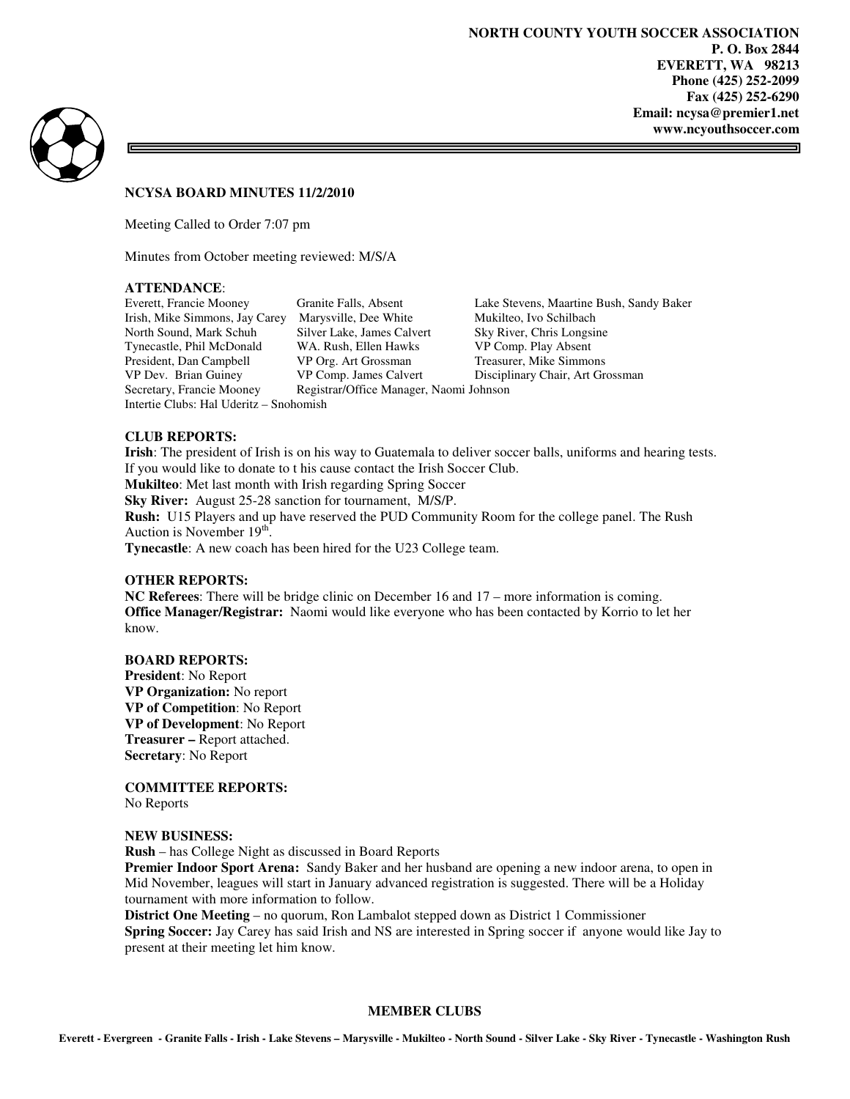=



#### **NCYSA BOARD MINUTES 11/2/2010**

Meeting Called to Order 7:07 pm

Minutes from October meeting reviewed: M/S/A

#### **ATTENDANCE**:

Intertie Clubs: Hal Uderitz – Snohomish

Irish, Mike Simmons, Jay Carey Marysville, Dee White Mukilteo, Ivo Schilbach North Sound, Mark Schuh Silver Lake, James Calvert Sky River, Chris Longsine Tynecastle, Phil McDonald WA. Rush, Ellen Hawks VP Comp. Play Absent President, Dan Campbell VP Org. Art Grossman Treasurer, Mike Simmons<br>
VP Org. James Calvert Disciplinary Chair, Art Gr VP Dev. Brian Guiney VP Comp. James Calvert Disciplinary Chair, Art Grossman Secretary, Francie Mooney Registrar/Office Manager, Naomi Johnson Registrar/Office Manager, Naomi Johnson

Everett, Francie Mooney Granite Falls, Absent Lake Stevens, Maartine Bush, Sandy Baker

## **CLUB REPORTS:**

**Irish**: The president of Irish is on his way to Guatemala to deliver soccer balls, uniforms and hearing tests. If you would like to donate to t his cause contact the Irish Soccer Club. **Mukilteo**: Met last month with Irish regarding Spring Soccer **Sky River:** August 25-28 sanction for tournament, M/S/P. **Rush:** U15 Players and up have reserved the PUD Community Room for the college panel. The Rush Auction is November  $19<sup>th</sup>$ . **Tynecastle**: A new coach has been hired for the U23 College team.

#### **OTHER REPORTS:**

**NC Referees**: There will be bridge clinic on December 16 and 17 – more information is coming. **Office Manager/Registrar:** Naomi would like everyone who has been contacted by Korrio to let her know.

#### **BOARD REPORTS:**

**President**: No Report **VP Organization:** No report **VP of Competition**: No Report **VP of Development**: No Report **Treasurer –** Report attached. **Secretary**: No Report

**COMMITTEE REPORTS:** 

No Reports

#### **NEW BUSINESS:**

**Rush** – has College Night as discussed in Board Reports

**Premier Indoor Sport Arena:** Sandy Baker and her husband are opening a new indoor arena, to open in Mid November, leagues will start in January advanced registration is suggested. There will be a Holiday tournament with more information to follow.

**District One Meeting** – no quorum, Ron Lambalot stepped down as District 1 Commissioner **Spring Soccer:** Jay Carey has said Irish and NS are interested in Spring soccer if anyone would like Jay to present at their meeting let him know.

#### **MEMBER CLUBS**